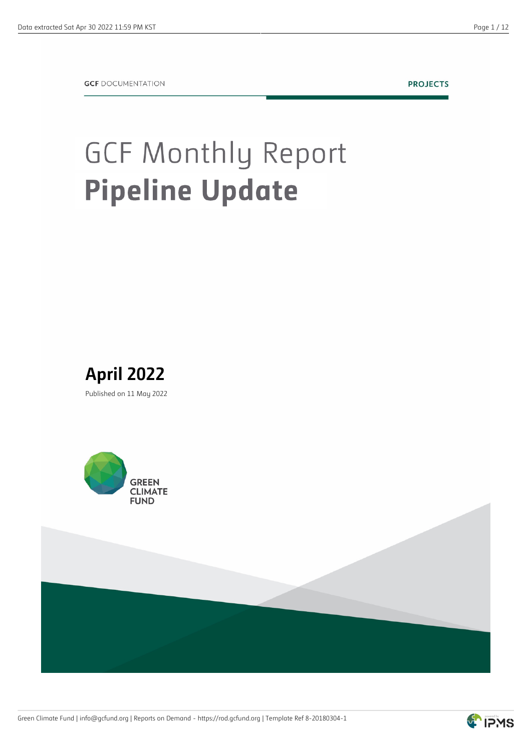**PROJECTS** 

## **GCF Monthly Report Pipeline Update**







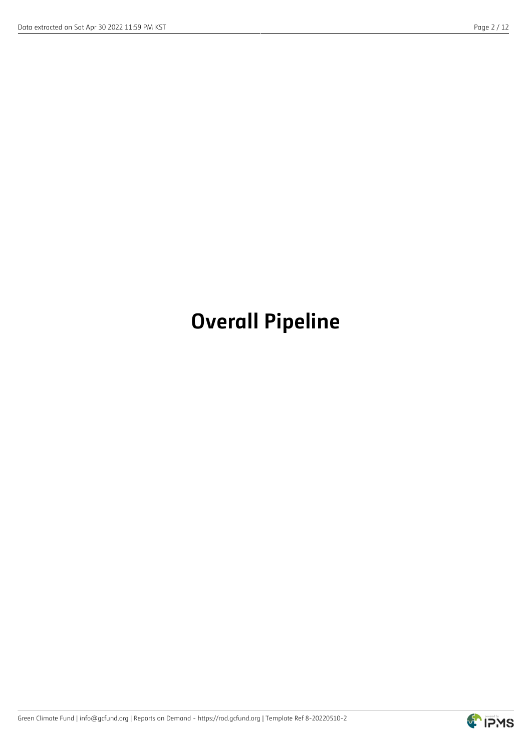## **Overall Pipeline**

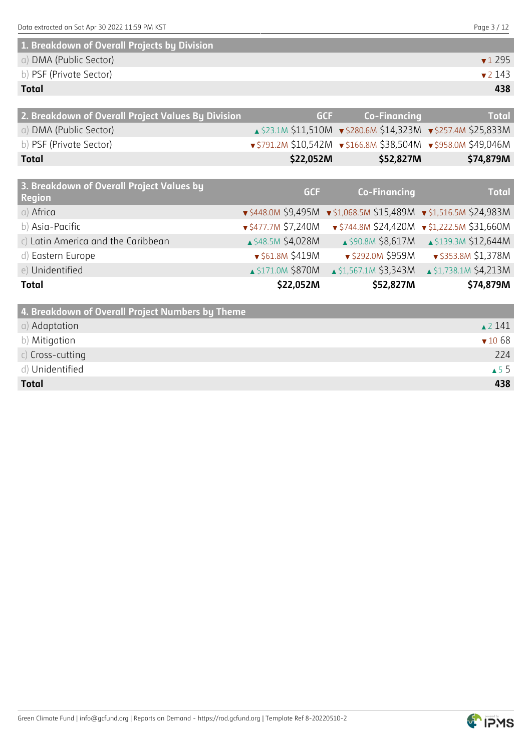| 1. Breakdown of Overall Projects by Division |                            |
|----------------------------------------------|----------------------------|
| a) DMA (Public Sector)                       | $\blacktriangledown$ 1 295 |
| b) PSF (Private Sector)                      | $\sqrt{2}$ 143             |
| <b>Total</b>                                 | 438                        |

| 2. Breakdown of Overall Project Values By Division | GCF.      | Co-Financina                                                   | <b>Total</b> |
|----------------------------------------------------|-----------|----------------------------------------------------------------|--------------|
| a) DMA (Public Sector)                             |           | ▲ \$23.1M \$11,510M v \$280.6M \$14,323M v \$257.4M \$25,833M  |              |
| b) PSF (Private Sector)                            |           | ▼ \$791.2M \$10,542M ▼ \$166.8M \$38,504M ▼ \$958.0M \$49,046M |              |
| <b>Total</b>                                       | \$22,052M | \$52,827M                                                      | \$74,879M    |

| 3. Breakdown of Overall Project Values by<br><b>Region</b> | <b>GCF</b>                | <b>Co-Financing</b>          | <b>Total</b>                                                   |
|------------------------------------------------------------|---------------------------|------------------------------|----------------------------------------------------------------|
| a) Africa                                                  |                           |                              | ▼\$448.0M \$9,495M ▼\$1,068.5M \$15,489M ▼\$1,516.5M \$24,983M |
| b) Asia-Pacific                                            | $\sqrt{5477.7M}$ \$7,240M |                              | $\sqrt{5744.8M}$ \$24,420M $\sqrt{51,222.5M}$ \$31,660M        |
| c) Latin America and the Caribbean                         | ▲ \$48.5M \$4,028M        | $\triangle$ \$90.8M \$8,617M | ▲ \$139.3M \$12,644M                                           |
| d) Eastern Europe                                          | ▼ \$61.8M \$419M          | ▼ \$292.0M \$959M            | ▼ \$353.8M \$1,378M                                            |
| e) Unidentified                                            | ▲ \$171.0M \$870M         | ▲ \$1,567.1M \$3,343M        | ▲ \$1,738.1M \$4,213M                                          |
| <b>Total</b>                                               | \$22,052M                 | \$52,827M                    | \$74,879M                                                      |

| 4. Breakdown of Overall Project Numbers by Theme |                   |
|--------------------------------------------------|-------------------|
| a) Adaptation                                    | $\triangle$ 2 141 |
| b) Mitigation                                    | 71068             |
| c) Cross-cutting                                 | 224               |
| d) Unidentified                                  | $\triangle$ 5.5   |
| <b>Total</b>                                     | 438               |

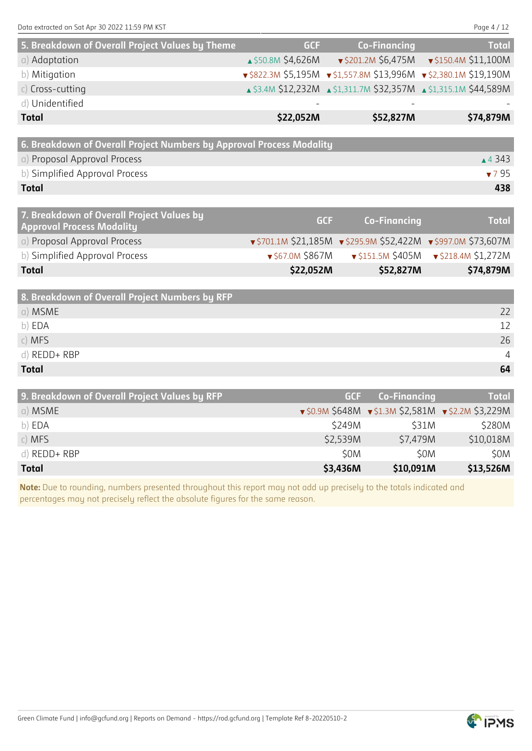| 5. Breakdown of Overall Project Values by Theme                      | <b>GCF</b>         | <b>Co-Financing</b>                                               | <b>Total</b>         |
|----------------------------------------------------------------------|--------------------|-------------------------------------------------------------------|----------------------|
| a) Adaptation                                                        | ▲ \$50.8M \$4,626M | $\sqrt{5201.2M}$ \$6,475M                                         | ▼ \$150.4M \$11,100M |
| b) Mitigation                                                        |                    | v \$822.3M \$5,195M v \$1,557.8M \$13,996M v \$2,380.1M \$19,190M |                      |
| $c)$ Cross-cutting                                                   |                    | ▲ \$3.4M \$12,232M ▲ \$1,311.7M \$32,357M ▲ \$1,315.1M \$44,589M  |                      |
| d) Unidentified                                                      |                    |                                                                   |                      |
| <b>Total</b>                                                         | \$22,052M          | \$52,827M                                                         | \$74,879M            |
|                                                                      |                    |                                                                   |                      |
| 6. Breakdown of Overall Project Numbers by Approval Process Modality |                    |                                                                   |                      |
| a) Proposal Approval Process                                         |                    |                                                                   | ▲ 4 3 4 3            |
| b) Simplified Approval Process                                       |                    |                                                                   | 795                  |
| <b>Total</b>                                                         |                    |                                                                   | 438                  |
|                                                                      |                    |                                                                   |                      |

| 7. Breakdown of Overall Project Values by<br><b>Approval Process Modality</b> | <b>GCF</b>             | <b>Co-Financing</b>                                            | <b>Total</b>              |
|-------------------------------------------------------------------------------|------------------------|----------------------------------------------------------------|---------------------------|
| a) Proposal Approval Process                                                  |                        | v \$701.1M \$21,185M v \$295.9M \$52,422M v \$997.0M \$73,607M |                           |
| b) Simplified Approval Process                                                | $\sqrt{567.0M}$ \$867M | $\sqrt{5151.5M}$ \$405M                                        | $\sqrt{5218.4M}$ \$1,272M |
| <b>Total</b>                                                                  | \$22,052M              | \$52,827M                                                      | \$74,879M                 |
|                                                                               |                        |                                                                |                           |

| 8. Breakdown of Overall Project Numbers by RFP |                |
|------------------------------------------------|----------------|
| a) MSME                                        | 22             |
| b) EDA                                         | 12             |
| c) MFS                                         | 26             |
| d) REDD+ RBP                                   | $\overline{4}$ |
| <b>Total</b>                                   | 64             |

| 9. Breakdown of Overall Project Values by RFP | GCF      | Co-Financing                                                          | <b>Total</b> |
|-----------------------------------------------|----------|-----------------------------------------------------------------------|--------------|
| a) MSME                                       |          | $\sqrt{50.9M}$ \$648M $\sqrt{51.3M}$ \$2,581M $\sqrt{52.2M}$ \$3,229M |              |
| b) EDA                                        | S249M    | <b>S31M</b>                                                           | \$280M       |
| $c)$ MFS                                      | \$2,539M | \$7,479M                                                              | \$10,018M    |
| $d)$ REDD+ RBP                                | \$0M     | <b>SOM</b>                                                            | \$0M         |
| <b>Total</b>                                  | \$3,436M | \$10,091M                                                             | \$13,526M    |

**Note:** Due to rounding, numbers presented throughout this report may not add up precisely to the totals indicated and percentages may not precisely reflect the absolute figures for the same reason.

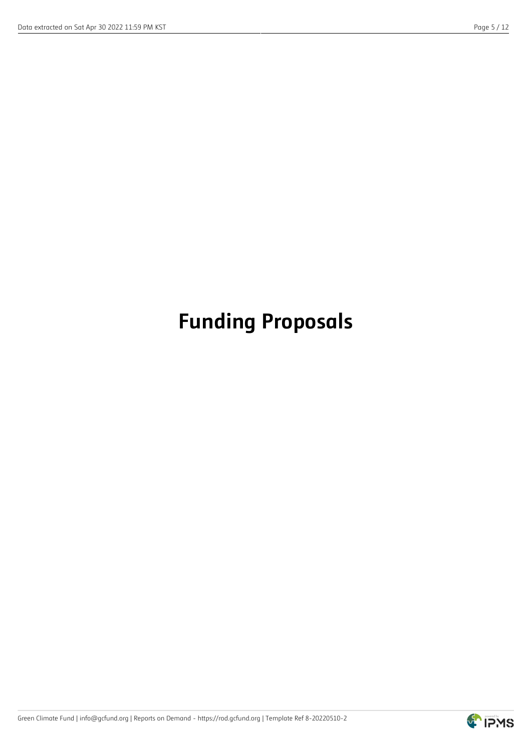## **Funding Proposals**

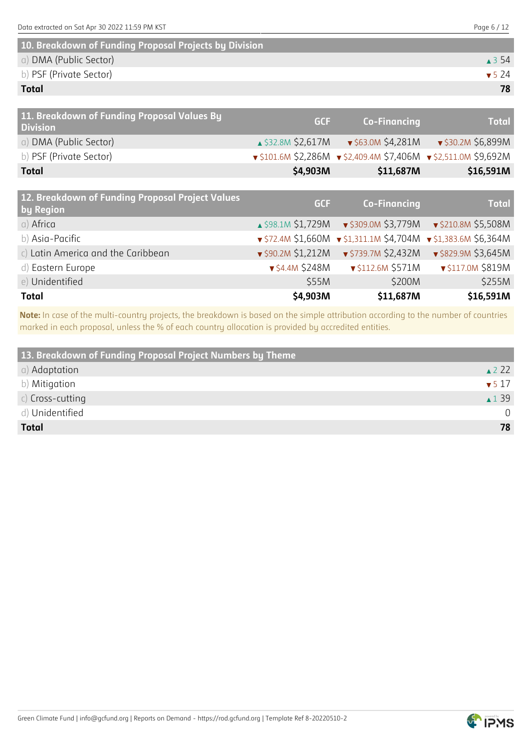| 10. Breakdown of Funding Proposal Projects by Division |                           |
|--------------------------------------------------------|---------------------------|
| a) DMA (Public Sector)                                 | $\triangle$ 3.54          |
| b) PSF (Private Sector)                                | $\blacktriangledown$ 5 74 |
| <b>Total</b>                                           | 78                        |

| 11. Breakdown of Funding Proposal Values By<br><b>Division</b> | <b>GCF</b>                   | <b>Co-Financing</b>                                             | <b>Total</b>                |
|----------------------------------------------------------------|------------------------------|-----------------------------------------------------------------|-----------------------------|
| a) DMA (Public Sector)                                         | ▲ \$32.8M \$2,617M           | ▼ \$63.0M \$4,281M                                              | ▼ \$30.2M \$6,899M          |
| b) PSF (Private Sector)                                        |                              | v \$101.6M \$2,286M v \$2,409.4M \$7,406M v \$2,511.0M \$9,692M |                             |
| <b>Total</b>                                                   | \$4,903M                     | \$11,687M                                                       | \$16,591M                   |
|                                                                |                              |                                                                 |                             |
| 12. Breakdown of Funding Proposal Project Values<br>by Region  | <b>GCF</b>                   | <b>Co-Financing</b>                                             | <b>Total</b>                |
|                                                                |                              |                                                                 |                             |
| a) Africa                                                      | $\triangle$ \$98.1M \$1,729M | ▼ \$309.0M \$3,779M                                             | ▼ \$210.8M \$5,508M         |
| b) Asia-Pacific                                                |                              | $\sqrt{572.4M}$ \$1,660M $\sqrt{51,311.1M}$ \$4,704M            | $\sqrt{51,383.6M}$ \$6,364M |
| c) Latin America and the Caribbean                             | $\sqrt{590.2M}$ \$1,212M     | ▼ \$739.7M \$2,432M                                             | ▼ \$829.9M \$3,645M         |
| d) Eastern Europe                                              | $\sqrt{54.4M}$ \$248M        | ▼ \$112.6M \$571M                                               | ▼ \$117.0M \$819M           |
| e) Unidentified                                                | \$55M                        | \$200M                                                          | \$255M                      |

**Note:** In case of the multi-country projects, the breakdown is based on the simple attribution according to the number of countries marked in each proposal, unless the % of each country allocation is provided by accredited entities.

**Total \$4,903M \$11,687M \$16,591M**

| 13. Breakdown of Funding Proposal Project Numbers by Theme |                           |
|------------------------------------------------------------|---------------------------|
| a) Adaptation                                              | $\triangle$ 22            |
| b) Mitigation                                              | $\blacktriangledown$ 5 17 |
| $c)$ Cross-cutting                                         | $\triangle$ 1 39          |
| d) Unidentified                                            | $\cap$                    |
| <b>Total</b>                                               | 78                        |

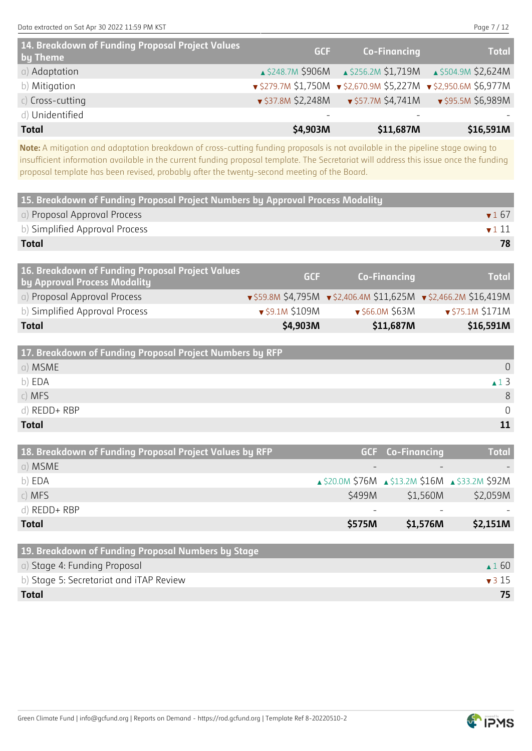| 14. Breakdown of Funding Proposal Project Values<br>by Theme | <b>GCF</b>               | Co-Financing                                                 | <b>Total</b>                                      |
|--------------------------------------------------------------|--------------------------|--------------------------------------------------------------|---------------------------------------------------|
| a) Adaptation                                                |                          | A \$248.7M \$906M A \$256.2M \$1,719M A \$504.9M \$2,624M    |                                                   |
| b) Mitigation                                                |                          | ▼\$279.7M \$1,750M ▼\$2,670.9M \$5,227M ▼\$2,950.6M \$6,977M |                                                   |
| $c)$ Cross-cutting                                           | $\sqrt{537.8M}$ \$2,248M |                                                              | $\sqrt{557.7M}$ \$4,741M $\sqrt{595.5M}$ \$6,989M |
| d) Unidentified                                              |                          |                                                              |                                                   |
| <b>Total</b>                                                 | \$4,903M                 | \$11,687M                                                    | \$16,591M                                         |

**Note:** A mitigation and adaptation breakdown of cross-cutting funding proposals is not available in the pipeline stage owing to insufficient information available in the current funding proposal template. The Secretariat will address this issue once the funding proposal template has been revised, probably after the twenty-second meeting of the Board.

| 15. Breakdown of Funding Proposal Project Numbers by Approval Process Modality   |            |                     |                          |
|----------------------------------------------------------------------------------|------------|---------------------|--------------------------|
| a) Proposal Approval Process                                                     |            |                     | $\blacktriangledown 167$ |
| b) Simplified Approval Process                                                   |            |                     | $\blacktriangledown$ 111 |
| <b>Total</b>                                                                     |            |                     | 78                       |
|                                                                                  |            |                     |                          |
| 16. Breakdown of Funding Proposal Project Values<br>by Approval Process Modality | <b>GCF</b> | <b>Co-Financing</b> | <b>Total</b>             |

| <b>Total</b>                   | \$4,903M                           | \$11,687M                          | \$16,591M                                                                          |
|--------------------------------|------------------------------------|------------------------------------|------------------------------------------------------------------------------------|
| b) Simplified Approval Process | $\blacktriangledown$ \$9.1M \$109M | $\blacktriangledown$ \$66.0M \$63M | $\sqrt{575.1M}$ \$171M                                                             |
| a) Proposal Approval Process   |                                    |                                    | $\sqrt{559.8M}$ \$4,795M $\sqrt{52,406.4M}$ \$11,625M $\sqrt{52,466.2M}$ \$16,419M |
|                                |                                    |                                    |                                                                                    |

| 17. Breakdown of Funding Proposal Project Numbers by RFP |             |
|----------------------------------------------------------|-------------|
| a) MSME                                                  | $\Omega$    |
| b) EDA                                                   | $\sqrt{13}$ |
| c) MFS                                                   | 8           |
| d) REDD+ RBP                                             | $\cap$      |
| <b>Total</b>                                             |             |

| 18. Breakdown of Funding Proposal Project Values by RFP |        | <b>GCF</b> Co-Financing                         | <b>Total</b> |
|---------------------------------------------------------|--------|-------------------------------------------------|--------------|
| a) MSME                                                 |        |                                                 |              |
| b) EDA                                                  |        | ▲ \$20.0M \$76M ▲ \$13.2M \$16M ▲ \$33.2M \$92M |              |
| $c)$ MFS                                                | \$499M | \$1,560M                                        | \$2,059M     |
| d) REDD+ RBP                                            |        |                                                 |              |
| <b>Total</b>                                            | \$575M | \$1,576M                                        | \$2,151M     |

| 19. Breakdown of Funding Proposal Numbers by Stage |                           |
|----------------------------------------------------|---------------------------|
| a) Stage 4: Funding Proposal                       | $\triangle$ 1.60          |
| b) Stage 5: Secretariat and iTAP Review            | $\blacktriangledown$ 3 15 |
| <b>Total</b>                                       | 75.                       |

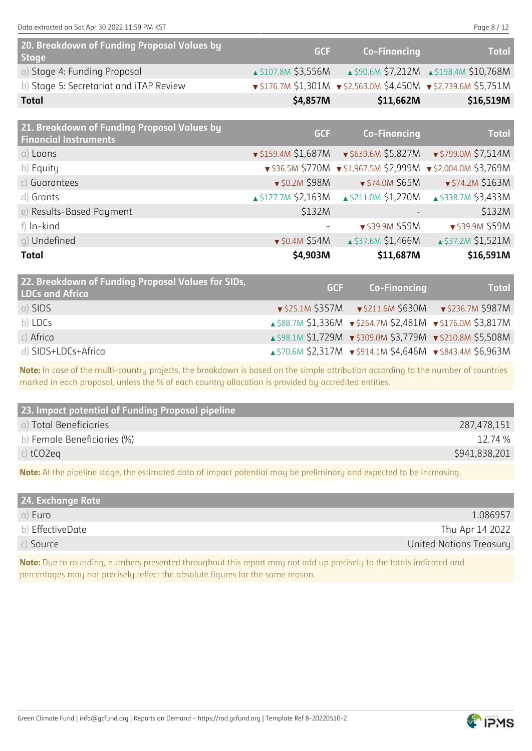Data extracted on Sat Apr 30 2022 11:59 PM KST Page 8 / 12

| 20. Breakdown of Funding Proposal Values by<br>Stage | <b>GCF</b>                    | <b>Co-Financing</b>                                                               | <b>Total</b>                            |
|------------------------------------------------------|-------------------------------|-----------------------------------------------------------------------------------|-----------------------------------------|
| a) Stage 4: Funding Proposal                         | $\triangle$ \$107.8M \$3,556M |                                                                                   | ▲ \$90.6M \$7,212M ▲ \$198.4M \$10,768M |
| b) Stage 5: Secretariat and iTAP Review              |                               | $\sqrt{5176.7M}$ \$1,301M $\sqrt{52,563.0M}$ \$4,450M $\sqrt{52,739.6M}$ \$5,751M |                                         |
| Total                                                | \$4,857M                      | \$11,662M                                                                         | \$16,519M                               |
|                                                      |                               |                                                                                   |                                         |

| 21. Breakdown of Funding Proposal Values by<br><b>Financial Instruments</b> | <b>GCF</b>                    | <b>Co-Financing</b>                                 | <b>Total</b>          |
|-----------------------------------------------------------------------------|-------------------------------|-----------------------------------------------------|-----------------------|
| $a)$ Loans                                                                  |                               | $\sqrt{5159.4M}$ \$1,687M $\sqrt{5639.6M}$ \$5,827M | ▼ \$799.0M \$7,514M   |
| b) Equity                                                                   |                               | $\sqrt{536.5M}$ \$770M $\sqrt{51,967.5M}$ \$2,999M  | ▼ \$2,004.0M \$3,769M |
| c) Guarantees                                                               | ▼ \$0.2M \$98M                | ▼ \$74.0M \$65M                                     | ▼ \$74.2M \$163M      |
| d) Grants                                                                   | $\triangle$ \$127.7M \$2,163M | ▲ \$211.0M \$1,270M                                 | ▲ \$338.7M \$3,433M   |
| e) Results-Based Payment                                                    | \$132M                        |                                                     | \$132M                |
| f) In-kind                                                                  |                               | ▼ \$39.9M \$59M                                     | ▼ \$39.9M \$59M       |
| g) Undefined                                                                | $\bullet$ \$0.4M \$54M        | ▲ \$37.6M \$1,466M                                  | ▲ \$37.2M \$1,521M    |
| <b>Total</b>                                                                | \$4,903M                      | \$11,687M                                           | \$16,591M             |

| 22. Breakdown of Funding Proposal Values for SIDs,<br><b>LDCs and Africa</b> | <b>GCF</b> | <b>Co-Financing</b>                                        | <b>Total</b>                                                           |
|------------------------------------------------------------------------------|------------|------------------------------------------------------------|------------------------------------------------------------------------|
| a) SIDS                                                                      |            |                                                            | $\sqrt{525.1M}$ \$357M $\sqrt{5211.6M}$ \$630M $\sqrt{5236.7M}$ \$987M |
| b) LDCs                                                                      |            | ▲ \$88.7M \$1,336M v \$264.7M \$2,481M v \$176.0M \$3,817M |                                                                        |
| $c)$ Africa                                                                  |            | ▲ \$98.1M \$1,729M v \$309.0M \$3,779M v \$210.8M \$5,508M |                                                                        |
| d) SIDS+LDCs+Africa                                                          |            | ▲ \$70.6M \$2,317M v \$914.1M \$4,646M v \$843.4M \$6,963M |                                                                        |

**Note:** In case of the multi-country projects, the breakdown is based on the simple attribution according to the number of countries marked in each proposal, unless the % of each country allocation is provided by accredited entities.

| 23. Impact potential of Funding Proposal pipeline |               |
|---------------------------------------------------|---------------|
| a) Total Beneficiaries                            | 287,478,151   |
| b) Female Beneficiaries (%)                       | 12.74 %       |
| c) $tCO2eq$                                       | \$941,838,201 |
|                                                   |               |

**Note:** At the pipeline stage, the estimated data of impact potential may be preliminary and expected to be increasing.

| 24. Exchange Rate |                         |
|-------------------|-------------------------|
| a) Euro           | 1.086957                |
| b) EffectiveDate  | Thu Apr 14 2022         |
| $c)$ Source       | United Nations Treasury |

**Note:** Due to rounding, numbers presented throughout this report may not add up precisely to the totals indicated and percentages may not precisely reflect the absolute figures for the same reason.

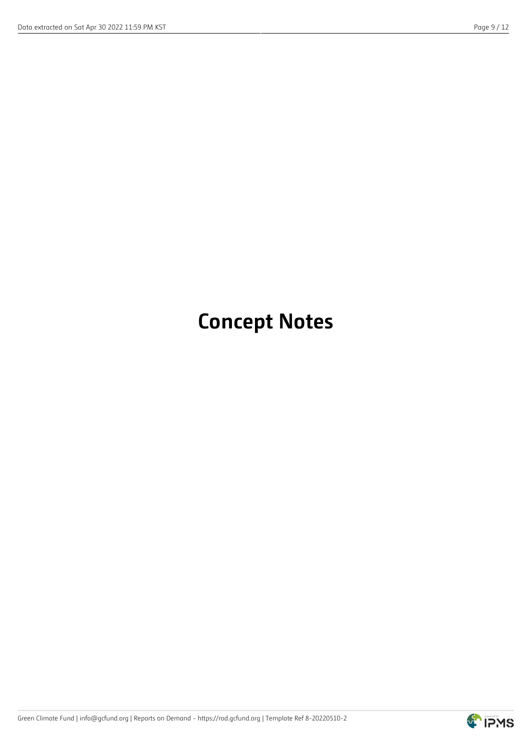## **Concept Notes**

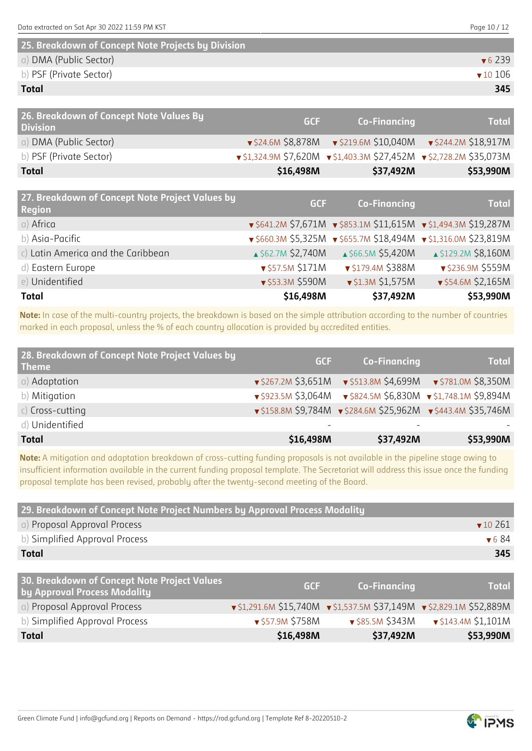| 25. Breakdown of Concept Note Projects by Division |                            |
|----------------------------------------------------|----------------------------|
| a) DMA (Public Sector)                             | $\sqrt{6}$ 239             |
| b) PSF (Private Sector)                            | $\blacktriangledown 10106$ |
| <b>Total</b>                                       | 345                        |

| 26. Breakdown of Concept Note Values By<br><b>Division</b> | <b>GCF</b> | Co-Financing                                                                          | <b>Total</b> |
|------------------------------------------------------------|------------|---------------------------------------------------------------------------------------|--------------|
| a) DMA (Public Sector)                                     |            | $\sqrt{524.6M}$ \$8,878M $\sqrt{5219.6M}$ \$10,040M $\sqrt{5244.2M}$ \$18,917M        |              |
| b) PSF (Private Sector)                                    |            | $\sqrt{51,324.9M}$ \$7,620M $\sqrt{51,403.3M}$ \$27,452M $\sqrt{52,728.2M}$ \$35,073M |              |
| <b>Total</b>                                               | \$16,498M  | \$37,492M                                                                             | \$53,990M    |
|                                                            |            |                                                                                       |              |

| 27. Breakdown of Concept Note Project Values by<br><b>Region</b> | <b>GCF</b>         | <b>Co-Financing</b>     | <b>Total</b>                                                                      |
|------------------------------------------------------------------|--------------------|-------------------------|-----------------------------------------------------------------------------------|
| a) Africa                                                        |                    |                         | $\sqrt{5641.2M}$ \$7,671M $\sqrt{5853.1M}$ \$11,615M $\sqrt{51,494.3M}$ \$19,287M |
| b) Asia-Pacific                                                  |                    |                         | ▼ \$660.3M \$5,325M ▼ \$655.7M \$18,494M ▼ \$1,316.0M \$23,819M                   |
| c) Latin America and the Caribbean                               | ▲ \$62.7M \$2,740M | ▲ \$66.5M \$5,420M      | ▲ \$129.2M \$8,160M                                                               |
| d) Eastern Europe                                                | ▼ \$57.5M \$171M   | ▼ \$179.4M \$388M       | ▼ \$236.9M \$559M                                                                 |
| e) Unidentified                                                  | ▼ \$53.3M \$590M   | $\sqrt{51.3M}$ \$1,575M | ▼ \$54.6M \$2,165M                                                                |
| <b>Total</b>                                                     | \$16,498M          | \$37,492M               | \$53,990M                                                                         |

**Note:** In case of the multi-country projects, the breakdown is based on the simple attribution according to the number of countries marked in each proposal, unless the % of each country allocation is provided by accredited entities.

| 28. Breakdown of Concept Note Project Values by<br><b>Theme</b> | <b>GCF</b> | <b>Co-Financing</b> | <b>Total</b>                                                                    |
|-----------------------------------------------------------------|------------|---------------------|---------------------------------------------------------------------------------|
| a) Adaptation                                                   |            |                     | $\sqrt{5267.2M}$ \$3,651M $\sqrt{513.8M}$ \$4,699M $\sqrt{5781.0M}$ \$8,350M    |
| b) Mitigation                                                   |            |                     | $\sqrt{5923.5M}$ \$3,064M $\sqrt{5824.5M}$ \$6,830M $\sqrt{51,748.1M}$ \$9,894M |
| $c)$ Cross-cutting                                              |            |                     | ▼\$158.8M \$9,784M ▼\$284.6M \$25,962M ▼\$443.4M \$35,746M                      |
| d) Unidentified                                                 |            |                     |                                                                                 |
| <b>Total</b>                                                    | \$16,498M  | \$37,492M           | \$53,990M                                                                       |

**Note:** A mitigation and adaptation breakdown of cross-cutting funding proposals is not available in the pipeline stage owing to insufficient information available in the current funding proposal template. The Secretariat will address this issue once the funding proposal template has been revised, probably after the twenty-second meeting of the Board.

| 29. Breakdown of Concept Note Project Numbers by Approval Process Modality   |                 |                                                                                        |                             |  |
|------------------------------------------------------------------------------|-----------------|----------------------------------------------------------------------------------------|-----------------------------|--|
| a) Proposal Approval Process                                                 |                 |                                                                                        | $\blacktriangledown$ 10 261 |  |
| b) Simplified Approval Process                                               |                 |                                                                                        | $\blacktriangledown 684$    |  |
| <b>Total</b>                                                                 |                 |                                                                                        | 345                         |  |
|                                                                              |                 |                                                                                        |                             |  |
| 30. Breakdown of Concept Note Project Values<br>by Approval Process Modality | <b>GCF</b>      | <b>Co-Financing</b>                                                                    | <b>Total</b>                |  |
| a) Proposal Approval Process                                                 |                 | $\sqrt{51,291.6M}$ \$15,740M $\sqrt{51,537.5M}$ \$37,149M $\sqrt{52,829.1M}$ \$52,889M |                             |  |
| b) Simplified Approval Process                                               | ▼\$57.9M \$758M | ▼ \$85.5M \$343M                                                                       | v \$143.4M \$1,101M         |  |
| <b>Total</b>                                                                 | \$16,498M       | \$37,492M                                                                              | \$53,990M                   |  |

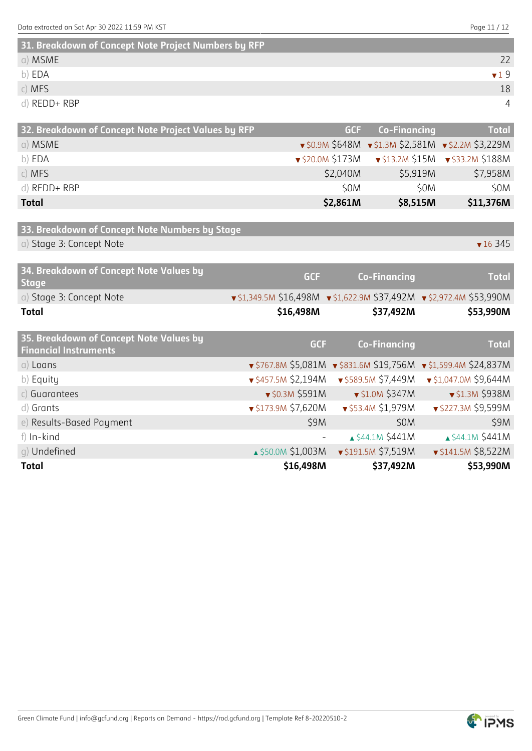| 31. Breakdown of Concept Note Project Numbers by RFP |     |
|------------------------------------------------------|-----|
| a) MSME                                              |     |
| b) EDA                                               | 719 |
| $c)$ MFS                                             | 18  |
| d) REDD+ RBP                                         |     |

| 32. Breakdown of Concept Note Project Values by RFP | GCF /    | Co-Financing                                                          | <b>Total</b> |
|-----------------------------------------------------|----------|-----------------------------------------------------------------------|--------------|
| a) MSME                                             |          | $\sqrt{50.9M}$ \$648M $\sqrt{51.3M}$ \$2,581M $\sqrt{52.2M}$ \$3,229M |              |
| b) EDA                                              |          | $\sqrt{220.0M}$ \$173M $\sqrt{213.2M}$ \$15M $\sqrt{213.2M}$ \$188M   |              |
| $c)$ MFS                                            | \$2,040M | \$5,919M                                                              | \$7,958M     |
| d) REDD+ RBP                                        | \$0M     | \$0M                                                                  | \$0M         |
| <b>Total</b>                                        | \$2,861M | \$8,515M                                                              | \$11,376M    |

| 33. Breakdown of Concept Note Numbers by Stage |                 |
|------------------------------------------------|-----------------|
| a) Stage 3: Concept Note                       | $\sqrt{16}$ 345 |

| 34. Breakdown of Concept Note Values by<br><b>Stage</b>                 | <b>GCF</b>                                                                             | <b>Co-Financing</b>       | <b>Total</b>                                                    |
|-------------------------------------------------------------------------|----------------------------------------------------------------------------------------|---------------------------|-----------------------------------------------------------------|
| a) Stage 3: Concept Note                                                | $\sqrt{51,349.5M}$ \$16,498M $\sqrt{51,622.9M}$ \$37,492M $\sqrt{52,972.4M}$ \$53,990M |                           |                                                                 |
| <b>Total</b>                                                            | \$16,498M                                                                              | \$37,492M                 | \$53,990M                                                       |
| 35. Breakdown of Concept Note Values by<br><b>Financial Instruments</b> | <b>GCF</b>                                                                             | <b>Co-Financing</b>       | <b>Total</b>                                                    |
| $a)$ Loans                                                              |                                                                                        |                           | v \$767.8M \$5,081M v \$831.6M \$19,756M v \$1,599.4M \$24,837M |
| b) Equity                                                               | $\sqrt{5457.5M}$ \$2,194M                                                              | ▼ \$589.5M \$7,449M       | ▼ \$1,047.0M \$9,644M                                           |
| c) Guarantees                                                           | $\sqrt{50.3M}$ \$591M                                                                  | $\sqrt{51.0M}$ \$347M     | ▼ \$1.3M \$938M                                                 |
| d) Grants                                                               | $\sqrt{5173.9M}$ \$7,620M                                                              | ▼ \$53.4M \$1,979M        | ▼ \$227.3M \$9,599M                                             |
| e) Results-Based Payment                                                | \$9M                                                                                   | \$0M                      | \$9M                                                            |
| f) In-kind                                                              |                                                                                        | ▲ \$44.1M \$441M          | ▲ \$44.1M \$441M                                                |
| q) Undefined                                                            | ▲ \$50.0M \$1,003M                                                                     | $\sqrt{5191.5M}$ \$7,519M | $\sqrt{5141.5M}$ \$8,522M                                       |
| <b>Total</b>                                                            | \$16,498M                                                                              | \$37,492M                 | \$53,990M                                                       |